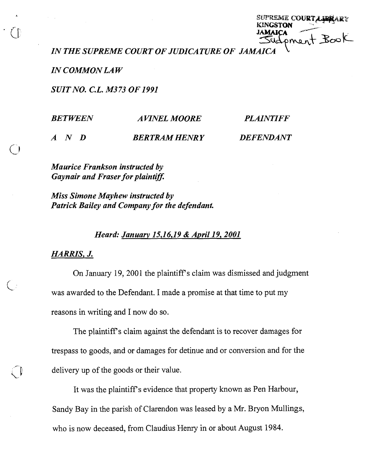|                 | SUPREME COURT A LEARY |
|-----------------|-----------------------|
| <b>KINGSTON</b> |                       |
|                 |                       |
|                 | JAMAICA JAOK          |
|                 |                       |

*IN THE SUPREME COURT OF JUDICATURE OF JAMAICA* L

*IN COMMON LAW* 

*SUIT NO. C.L. M373 OF 1991* 

| <b>BETWEEN</b>      | <i><b>AVINEL MOORE</b></i> | <b>PLAINTIFF</b> |
|---------------------|----------------------------|------------------|
| $A \quad N \quad D$ | <b>BERTRAM HENRY</b>       | <b>DEFENDANT</b> |

*Maurice Frankson instructed by Gaynair and Fraser for plaintiff.* 

*Miss Simone Mayhew instructed by Patrick Bailey and Company for the defendant.* 

## *Heard: Januar~ 15,16,19* & *April 19,2001*

*HARRIS, J.* 

On January 19, 2001 the plaintiff's claim was dismissed and judgment was awarded to the Defendant. I made a promise at that time to put my reasons in writing and I now do so.

The plaintiff's claim against the defendant is to recover damages for trespass to goods, and or damages for detinue and or conversion and for the delivery up of the goods or their value.

It was the plaintiff's evidence that property known as Pen Harbour, Sandy Bay in the parish of Clarendon was leased by a Mr. Bryon Mullings, who is now deceased, from Claudius Henry in or about August 1984.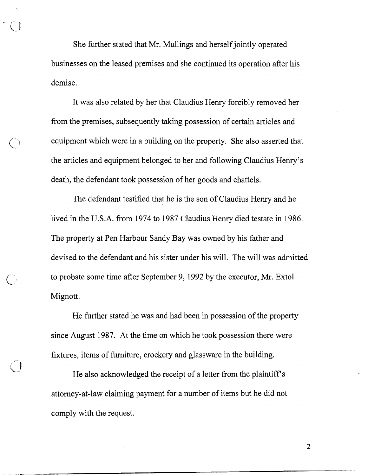She further stated that Mr. Mullings and herself jointly operated businesses on the leased premises and she continued its operation after his demise.

It was also related by her that Claudius Henry forcibly removed her from the premises, subsequently taking possession of certain articles and equipment which were in a building on the property. She also asserted that the articles and equipment belonged to her and following Claudius Henry's death, the defendant took possession of her goods and chattels.

The defendant testified that he is the son of Claudius Henry and he **<sup>i</sup>** lived in the U.S.A. from 1974 to 1987 Claudius Henry died testate in 1986. The property at Pen Harbour Sandy Bay was owned by his father and devised to the defendant and his sister under his will. The will was admitted to probate some time after September 9, 1992 by the executor, Mr. Extol Mignott.

He further stated he was and had been in possession of the property since August 1987. At the time on which he took possession there were fixtures, items of furniture, crockery and glassware in the building.

He also acknowledged the receipt of a letter from the plaintiff's attorney-at-law claiming payment for a number of items but he did not comply with the request.

 $\bigcirc$ 

 $\overline{2}$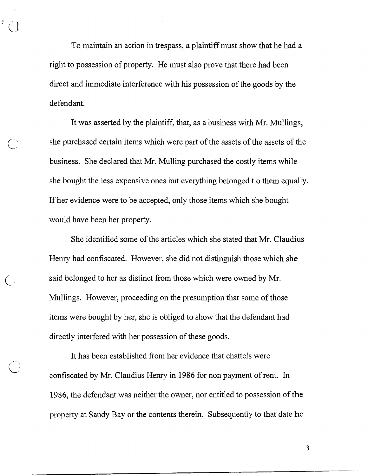To maintain an action in trespass, a plaintiff must show that he had a right to possession of property. He must also prove that there had been direct and immediate interference with his possession of the goods by the defendant.

It was asserted by the plaintiff, that, as a business with Mr. Mullings, she purchased certain items which were part of the assets of the assets of the business. She declared that Mr. Mulling purchased the costly items while she bought the less expensive ones but everything belonged t o them equally. If her evidence were to be accepted, only those items which she bought would have been her property.

She identified some of the articles which she stated that Mr. Claudius Henry had confiscated. However, she did not distinguish those which she said belonged to her as distinct from those which were owned by Mr. Mullings. However, proceeding on the presumption that some of those items were bought by her, she is obliged to show that the defendant had directly interfered with her possession of these goods.

 $\bigcap$ 

It has been established from her evidence that chattels were confiscated by Mr. Claudius Henry in 1986 for non payment of rent. In 1986, the defendant was neither the owner, nor entitled to possession of the property at Sandy Bay or the contents therein. Subsequently to that date he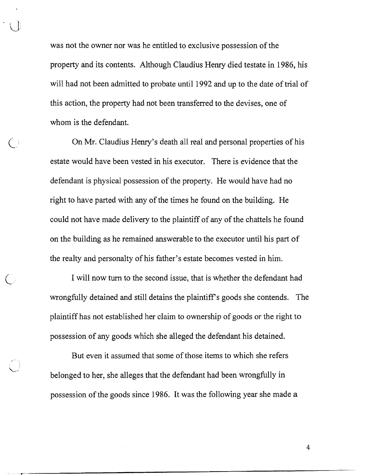was not the owner nor was he entitled to exclusive possession of the property and its contents. Although Claudius Henry died testate in 1986, his will had not been admitted to probate until 1992 and up to the date of trial of this action, the property had not been transferred to the devises, one of whom is the defendant.

On Mr. Claudius Henry's death all real and personal properties of his estate would have been vested in his executor. There is evidence that the defendant is physical possession of the property. He would have had no right to have parted with any of the times he found on the building. He could not have made delivery to the plaintiff of any of the chattels he found on the building as he remained answerable to the executor until his part of the realty and personalty of his father's estate becomes vested in him.

I will now turn to the second issue, that is whether the defendant had wrongfully detained and still detains the plaintiff's goods she contends. The plaintiff has not established her claim to ownership of goods or the right to possession of any goods which she alleged the defendant his detained.

But even it assumed that some of those items to which she refers belonged to her, she alleges that the defendant had been wrongfully in possession of the goods since 1986. It was the following year she made a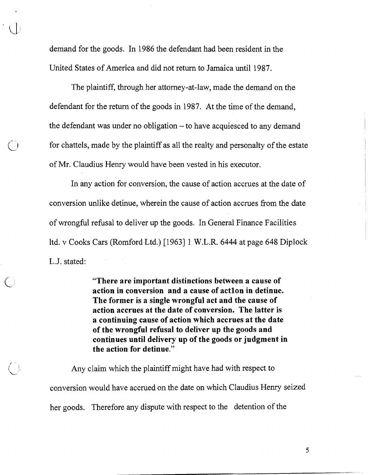demand for the goods. In 1986 the defendant had been resident in the United States of America and did not return to Jamaica until 1987.

The plaintiff, through her attorney-at-law, made the demand on the defendant for the return of the goods in 1987. At the time of the demand, the defendant was under no obligation  $-$  to have acquiesced to any demand for chattels, made by the plaintiff as all the realty and personalty of the estate of Mr. Claudius Henry would have been vested in his executor.

In any action for conversion, the cause of action accrues at the date of conversion unlike detinue, wherein the cause of action accrues from the date of wrongful refusal to deliver up the goods. In General Finance Facilities ltd. v Cooks Cars (Romford Ltd.) [I9631 1 W.L.R. 6444 at page 648 Diplock L.J. stated:

> "There are important distinctions between a cause of action in conversion and a cause of actlon in detinue. The former is a single wrongful act and the cause of action accrues at the date of conversion. The latter is a continuing cause of action which accrues at the date of the wrongful refusal to deliver up the goods and continues until delivery up of the goods or judgment in the action for detinue."

Any claim which the plaintiff might have had with respect to conversion would have accrued on the date on which Claudius Henry seized her goods. Therefore any dispute with respect to the detention of the